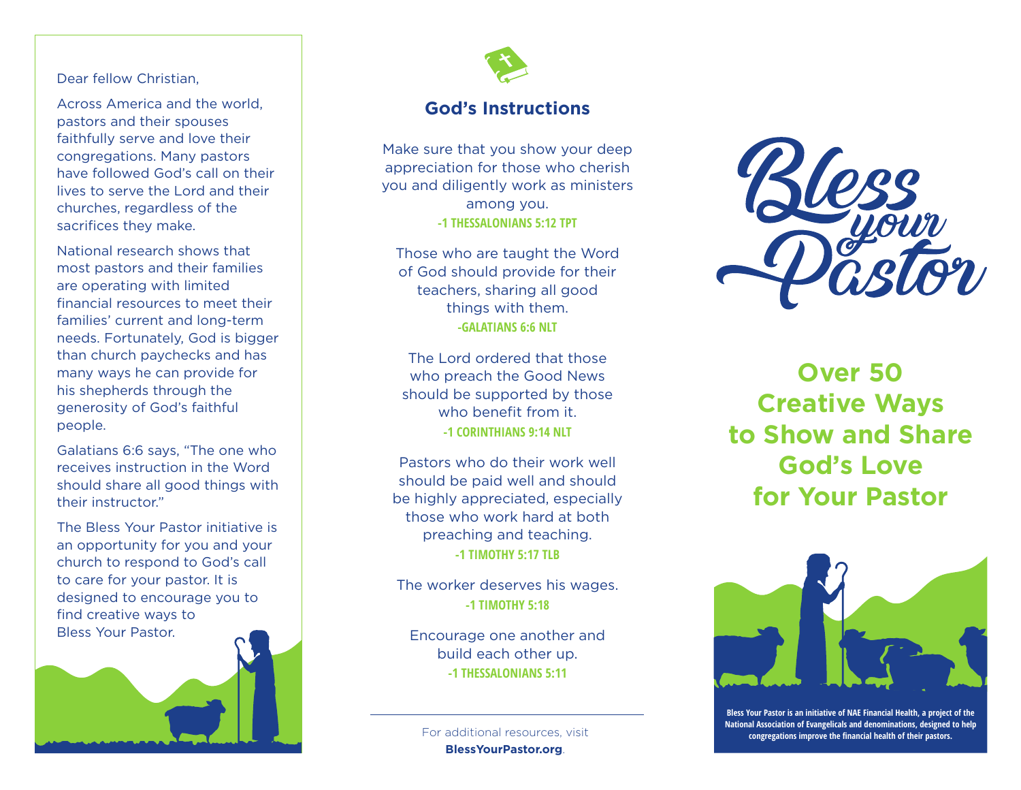#### Dear fellow Christian,

Across America and the world, pastors and their spouses faithfully serve and love their congregations. Many pastors have followed God's call on their lives to serve the Lord and their churches, regardless of the sacrifices they make.

National research shows that most pastors and their families are operating with limited financial resources to meet their families' current and long-term needs. Fortunately, God is bigger than church paychecks and has many ways he can provide for his shepherds through the generosity of God's faithful people.

Galatians 6:6 says, "The one who receives instruction in the Word should share all good things with their instructor."

The Bless Your Pastor initiative is an opportunity for you and your church to respond to God's call to care for your pastor. It is designed to encourage you to find creative ways to Bless Your Pastor.





#### **God's Instructions**

Make sure that you show your deep appreciation for those who cherish you and diligently work as ministers among you. **-1 THESSALONIANS 5:12 TPT**

Those who are taught the Word of God should provide for their teachers, sharing all good things with them. **-GALATIANS 6:6 NLT**

The Lord ordered that those who preach the Good News should be supported by those who benefit from it. **-1 CORINTHIANS 9:14 NLT**

Pastors who do their work well should be paid well and should be highly appreciated, especially those who work hard at both preaching and teaching. **-1 TIMOTHY 5:17 TLB**

The worker deserves his wages. **-1 TIMOTHY 5:18**

Encourage one another and build each other up. **-1 THESSALONIANS 5:11**

**BlessYourPastor.org** .



**Over 50 Creative Ways to Show and Share God's Love for Your Pastor**



**Bless Your Pastor is an initiative of NAE Financial Health, a project of the National Association of Evangelicals and denominations, designed to help** For additional resources, visit **congregations improve the financial health of their pastors.**